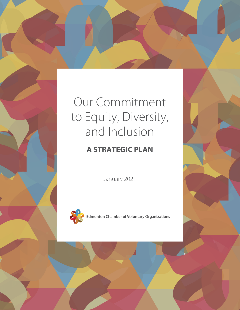# Our Commitment to Equity, Diversity, and Inclusion

### **A STRATEGIC PLAN**

January 2021



**Edmonton Chamber of Voluntary Organizations**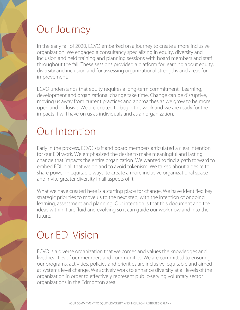# Our Journey

In the early fall of 2020, ECVO embarked on a journey to create a more inclusive organization. We engaged a consultancy specializing in equity, diversity and inclusion and held training and planning sessions with board members and staff throughout the fall. These sessions provided a platform for learning about equity, diversity and inclusion and for assessing organizational strengths and areas for improvement.

ECVO understands that equity requires a long-term commitment. Learning, development and organizational change take time. Change can be disruptive, moving us away from current practices and approaches as we grow to be more open and inclusive. We are excited to begin this work and we are ready for the impacts it will have on us as individuals and as an organization.

### Our Intention

Early in the process, ECVO staff and board members articulated a clear intention for our EDI work. We emphasized the desire to make meaningful and lasting change that impacts the entire organization. We wanted to find a path forward to embed EDI in all that we do and to avoid tokenism. We talked about a desire to share power in equitable ways, to create a more inclusive organizational space and invite greater diversity in all aspects of it.

What we have created here is a starting place for change. We have identified key strategic priorities to move us to the next step, with the intention of ongoing learning, assessment and planning. Our intention is that this document and the ideas within it are fluid and evolving so it can guide our work now and into the future.

# Our EDI Vision

ECVO is a diverse organization that welcomes and values the knowledges and lived realities of our members and communities. We are committed to ensuring our programs, activities, policies and priorities are inclusive, equitable and aimed at systems level change. We actively work to enhance diversity at all levels of the organization in order to effectively represent public-serving voluntary sector organizations in the Edmonton area.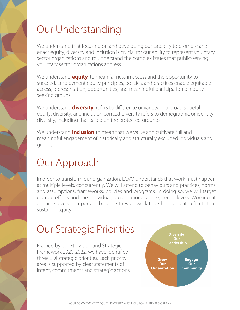# Our Understanding

We understand that focusing on and developing our capacity to promote and enact equity, diversity and inclusion is crucial for our ability to represent voluntary sector organizations and to understand the complex issues that public-serving voluntary sector organizations address.

We understand **equity** to mean fairness in access and the opportunity to succeed. Employment equity principles, policies, and practices enable equitable access, representation, opportunities, and meaningful participation of equity seeking groups.

We understand **diversity** refers to difference or variety. In a broad societal equity, diversity, and inclusion context diversity refers to demographic or identity diversity, including that based on the protected grounds.

We understand **inclusion** to mean that we value and cultivate full and meaningful engagement of historically and structurally excluded individuals and groups.

# Our Approach

In order to transform our organization, ECVO understands that work must happen at multiple levels, concurrently. We will attend to behaviours and practices; norms and assumptions; frameworks, policies and programs. In doing so, we will target change efforts and the individual, organizational and systemic levels. Working at all three levels is important because they all work together to create effects that sustain inequity.

# Our Strategic Priorities

Framed by our EDI vision and Strategic Framework 2020-2022, we have identified three EDI strategic priorities. Each priority area is supported by clear statements of intent, commitments and strategic actions.